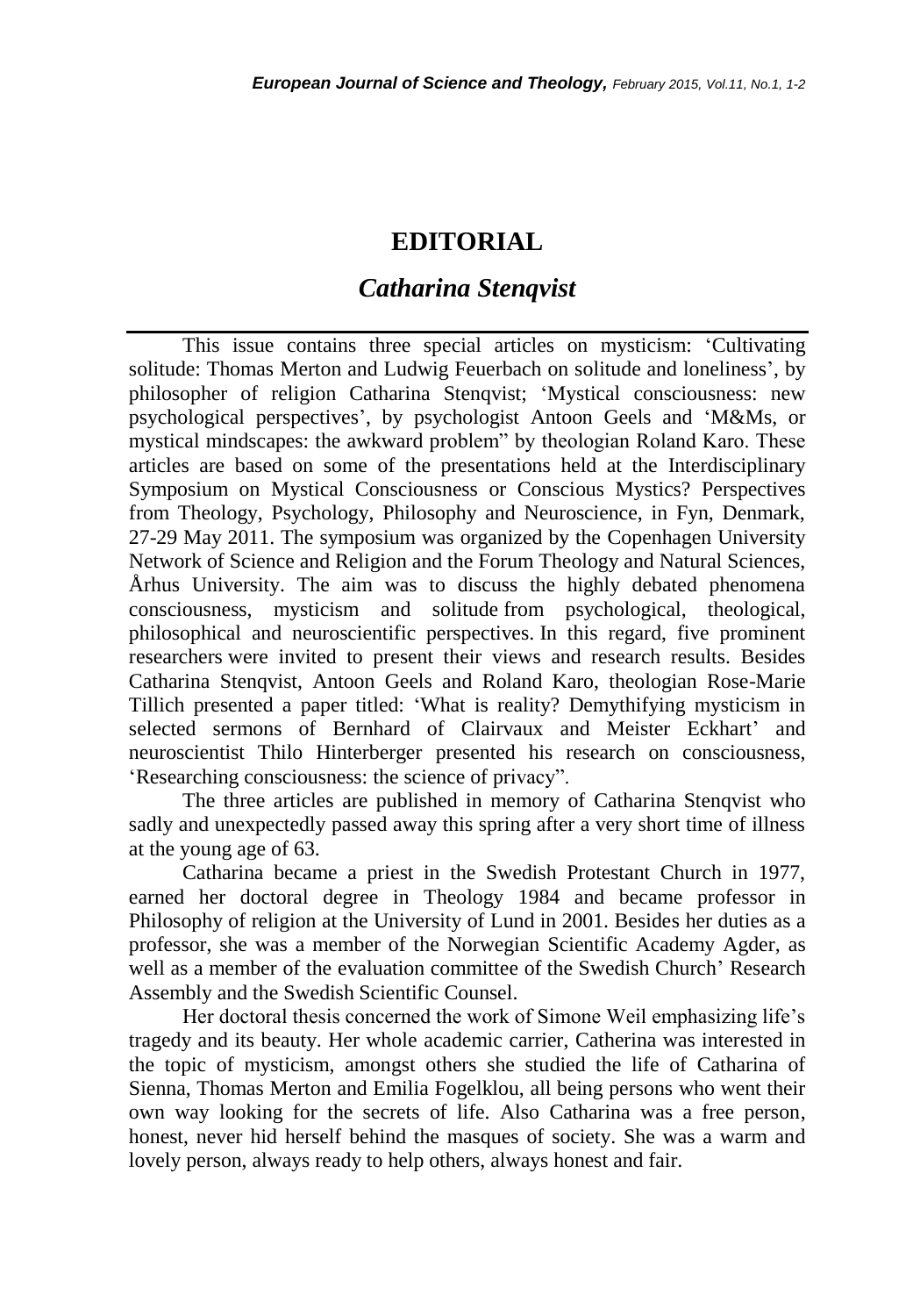# **EDITORIAL**

# *Catharina Stenqvist*

This issue contains three special articles on mysticism: 'Cultivating solitude: Thomas Merton and Ludwig Feuerbach on solitude and loneliness', by philosopher of religion Catharina Stenqvist; 'Mystical consciousness: new psychological perspectives', by psychologist Antoon Geels and 'M&Ms, or mystical mindscapes: the awkward problem" by theologian Roland Karo. These articles are based on some of the presentations held at the Interdisciplinary Symposium on Mystical Consciousness or Conscious Mystics? Perspectives from Theology, Psychology, Philosophy and Neuroscience, in Fyn, Denmark, 27-29 May 2011. The symposium was organized by the Copenhagen University Network of Science and Religion and the Forum Theology and Natural Sciences, Århus University. The aim was to discuss the highly debated phenomena consciousness, mysticism and solitude from psychological, theological, philosophical and neuroscientific perspectives. In this regard, five prominent researchers were invited to present their views and research results. Besides Catharina Stenqvist, Antoon Geels and Roland Karo, theologian Rose-Marie Tillich presented a paper titled: 'What is reality? Demythifying mysticism in selected sermons of Bernhard of Clairvaux and Meister Eckhart' and neuroscientist Thilo Hinterberger presented his research on consciousness, 'Researching consciousness: the science of privacy".

The three articles are published in memory of Catharina Stenqvist who sadly and unexpectedly passed away this spring after a very short time of illness at the young age of 63.

Catharina became a priest in the Swedish Protestant Church in 1977, earned her doctoral degree in Theology 1984 and became professor in Philosophy of religion at the University of Lund in 2001. Besides her duties as a professor, she was a member of the Norwegian Scientific Academy Agder, as well as a member of the evaluation committee of the Swedish Church' Research Assembly and the Swedish Scientific Counsel.

Her doctoral thesis concerned the work of Simone Weil emphasizing life's tragedy and its beauty. Her whole academic carrier, Catherina was interested in the topic of mysticism, amongst others she studied the life of Catharina of Sienna, Thomas Merton and Emilia Fogelklou, all being persons who went their own way looking for the secrets of life. Also Catharina was a free person, honest, never hid herself behind the masques of society. She was a warm and lovely person, always ready to help others, always honest and fair.